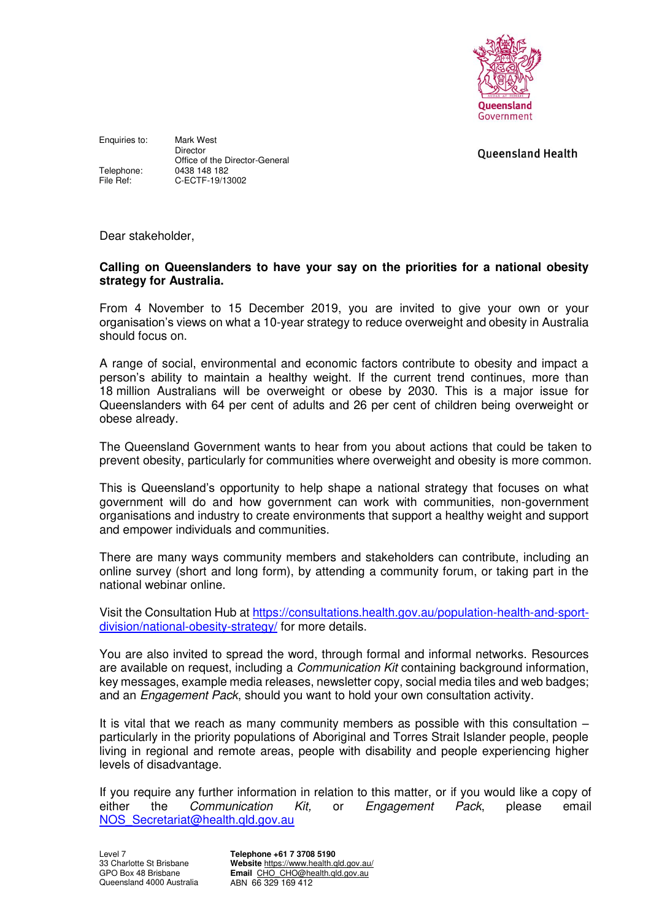

**Oueensland Health** 

Enquiries to: Mark West Director Office of the Director-General Telephone: 0438 148 182<br>File Ref: C-ECTF-19/13 C-ECTF-19/13002

Dear stakeholder,

## **Calling on Queenslanders to have your say on the priorities for a national obesity strategy for Australia.**

From 4 November to 15 December 2019, you are invited to give your own or your organisation's views on what a 10-year strategy to reduce overweight and obesity in Australia should focus on.

A range of social, environmental and economic factors contribute to obesity and impact a person's ability to maintain a healthy weight. If the current trend continues, more than 18 million Australians will be overweight or obese by 2030. This is a major issue for Queenslanders with 64 per cent of adults and 26 per cent of children being overweight or obese already.

The Queensland Government wants to hear from you about actions that could be taken to prevent obesity, particularly for communities where overweight and obesity is more common.

This is Queensland's opportunity to help shape a national strategy that focuses on what government will do and how government can work with communities, non-government organisations and industry to create environments that support a healthy weight and support and empower individuals and communities.

There are many ways community members and stakeholders can contribute, including an online survey (short and long form), by attending a community forum, or taking part in the national webinar online.

Visit the Consultation Hub at [https://consultations.health.gov.au/population-health-and-sport](https://consultations.health.gov.au/population-health-and-sport-division/national-obesity-strategy/)[division/national-obesity-strategy/](https://consultations.health.gov.au/population-health-and-sport-division/national-obesity-strategy/) for more details.

You are also invited to spread the word, through formal and informal networks. Resources are available on request, including a *Communication Kit* containing background information, key messages, example media releases, newsletter copy, social media tiles and web badges; and an *Engagement Pack*, should you want to hold your own consultation activity.

It is vital that we reach as many community members as possible with this consultation – particularly in the priority populations of Aboriginal and Torres Strait Islander people, people living in regional and remote areas, people with disability and people experiencing higher levels of disadvantage.

If you require any further information in relation to this matter, or if you would like a copy of either the Communication Kit, or Engagement Pack, please email [NOS\\_Secretariat@health.qld.gov.au](mailto:NOS_Secretariat@health.qld.gov.au) 

**Telephone +61 7 3708 5190 Website** <https://www.health.qld.gov.au/> **Email** [CHO\\_CHO@health.qld.gov.au](mailto:CHO_CHO@health.qld.gov.au)  ABN66 329 169 412